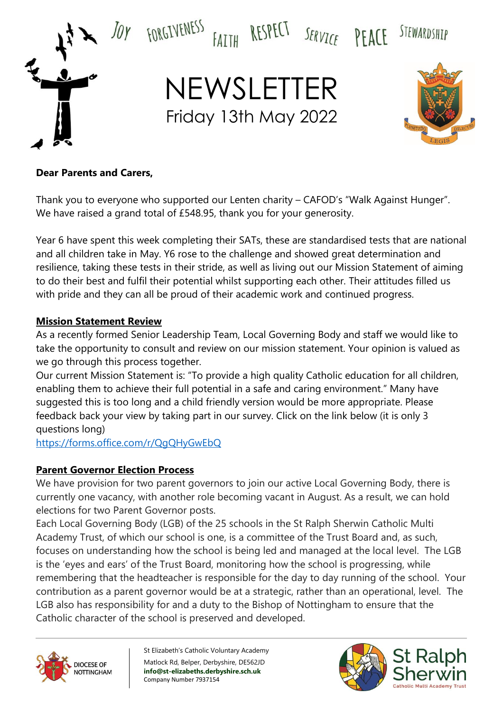

### **Dear Parents and Carers,**

Thank you to everyone who supported our Lenten charity – CAFOD's "Walk Against Hunger". We have raised a grand total of £548.95, thank you for your generosity.

Year 6 have spent this week completing their SATs, these are standardised tests that are national and all children take in May. Y6 rose to the challenge and showed great determination and resilience, taking these tests in their stride, as well as living out our Mission Statement of aiming to do their best and fulfil their potential whilst supporting each other. Their attitudes filled us with pride and they can all be proud of their academic work and continued progress.

### **Mission Statement Review**

As a recently formed Senior Leadership Team, Local Governing Body and staff we would like to take the opportunity to consult and review on our mission statement. Your opinion is valued as we go through this process together.

Our current Mission Statement is: "To provide a high quality Catholic education for all children, enabling them to achieve their full potential in a safe and caring environment." Many have suggested this is too long and a child friendly version would be more appropriate. Please feedback back your view by taking part in our survey. Click on the link below (it is only 3 questions long)

<https://forms.office.com/r/QgQHyGwEbQ>

### **Parent Governor Election Process**

We have provision for two parent governors to join our active Local Governing Body, there is currently one vacancy, with another role becoming vacant in August. As a result, we can hold elections for two Parent Governor posts.

Each Local Governing Body (LGB) of the 25 schools in the St Ralph Sherwin Catholic Multi Academy Trust, of which our school is one, is a committee of the Trust Board and, as such, focuses on understanding how the school is being led and managed at the local level. The LGB is the 'eyes and ears' of the Trust Board, monitoring how the school is progressing, while remembering that the headteacher is responsible for the day to day running of the school. Your contribution as a parent governor would be at a strategic, rather than an operational, level. The LGB also has responsibility for and a duty to the Bishop of Nottingham to ensure that the Catholic character of the school is preserved and developed.



St Elizabeth's Catholic Voluntary Academy Matlock Rd, Belper, Derbyshire, DE562JD **info@st-elizabeths.derbyshire.sch.uk** Company Number 7937154

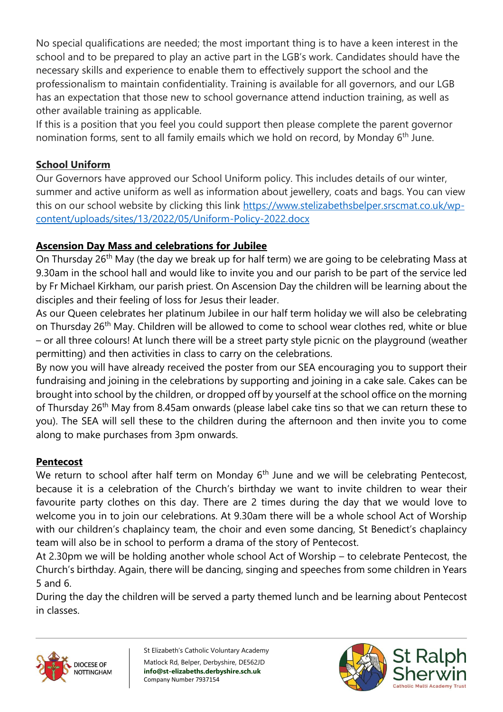No special qualifications are needed; the most important thing is to have a keen interest in the school and to be prepared to play an active part in the LGB's work. Candidates should have the necessary skills and experience to enable them to effectively support the school and the professionalism to maintain confidentiality. Training is available for all governors, and our LGB has an expectation that those new to school governance attend induction training, as well as other available training as applicable.

If this is a position that you feel you could support then please complete the parent governor nomination forms, sent to all family emails which we hold on record, by Monday 6<sup>th</sup> June.

# **School Uniform**

Our Governors have approved our School Uniform policy. This includes details of our winter, summer and active uniform as well as information about jewellery, coats and bags. You can view this on our school website by clicking this link [https://www.stelizabethsbelper.srscmat.co.uk/wp](https://www.stelizabethsbelper.srscmat.co.uk/wp-content/uploads/sites/13/2022/05/Uniform-Policy-2022.docx)[content/uploads/sites/13/2022/05/Uniform-Policy-2022.docx](https://www.stelizabethsbelper.srscmat.co.uk/wp-content/uploads/sites/13/2022/05/Uniform-Policy-2022.docx)

## **Ascension Day Mass and celebrations for Jubilee**

On Thursday 26<sup>th</sup> May (the day we break up for half term) we are going to be celebrating Mass at 9.30am in the school hall and would like to invite you and our parish to be part of the service led by Fr Michael Kirkham, our parish priest. On Ascension Day the children will be learning about the disciples and their feeling of loss for Jesus their leader.

As our Queen celebrates her platinum Jubilee in our half term holiday we will also be celebrating on Thursday 26<sup>th</sup> May. Children will be allowed to come to school wear clothes red, white or blue – or all three colours! At lunch there will be a street party style picnic on the playground (weather permitting) and then activities in class to carry on the celebrations.

By now you will have already received the poster from our SEA encouraging you to support their fundraising and joining in the celebrations by supporting and joining in a cake sale. Cakes can be brought into school by the children, or dropped off by yourself at the school office on the morning of Thursday 26<sup>th</sup> May from 8.45am onwards (please label cake tins so that we can return these to you). The SEA will sell these to the children during the afternoon and then invite you to come along to make purchases from 3pm onwards.

## **Pentecost**

We return to school after half term on Monday  $6<sup>th</sup>$  June and we will be celebrating Pentecost, because it is a celebration of the Church's birthday we want to invite children to wear their favourite party clothes on this day. There are 2 times during the day that we would love to welcome you in to join our celebrations. At 9.30am there will be a whole school Act of Worship with our children's chaplaincy team, the choir and even some dancing, St Benedict's chaplaincy team will also be in school to perform a drama of the story of Pentecost.

At 2.30pm we will be holding another whole school Act of Worship – to celebrate Pentecost, the Church's birthday. Again, there will be dancing, singing and speeches from some children in Years 5 and 6.

During the day the children will be served a party themed lunch and be learning about Pentecost in classes.



St Elizabeth's Catholic Voluntary Academy Matlock Rd, Belper, Derbyshire, DE562JD **info@st-elizabeths.derbyshire.sch.uk** Company Number 7937154

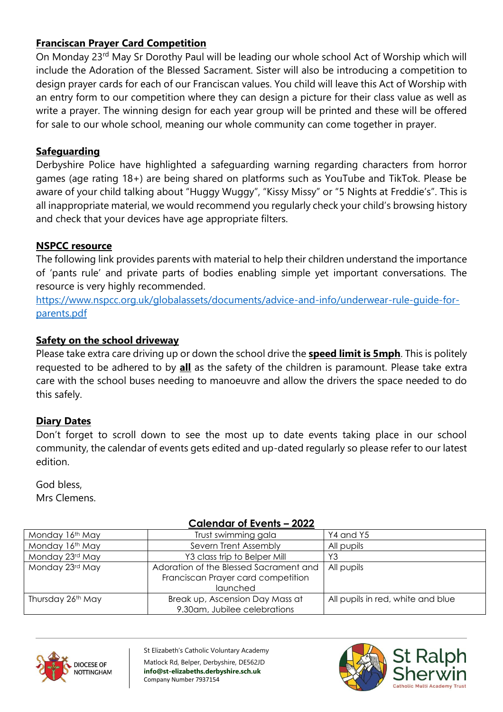## **Franciscan Prayer Card Competition**

On Monday 23<sup>rd</sup> May Sr Dorothy Paul will be leading our whole school Act of Worship which will include the Adoration of the Blessed Sacrament. Sister will also be introducing a competition to design prayer cards for each of our Franciscan values. You child will leave this Act of Worship with an entry form to our competition where they can design a picture for their class value as well as write a prayer. The winning design for each year group will be printed and these will be offered for sale to our whole school, meaning our whole community can come together in prayer.

### **Safeguarding**

Derbyshire Police have highlighted a safeguarding warning regarding characters from horror games (age rating 18+) are being shared on platforms such as YouTube and TikTok. Please be aware of your child talking about "Huggy Wuggy", "Kissy Missy" or "5 Nights at Freddie's". This is all inappropriate material, we would recommend you regularly check your child's browsing history and check that your devices have age appropriate filters.

### **NSPCC resource**

The following link provides parents with material to help their children understand the importance of 'pants rule' and private parts of bodies enabling simple yet important conversations. The resource is very highly recommended.

[https://www.nspcc.org.uk/globalassets/documents/advice-and-info/underwear-rule-guide-for](https://www.nspcc.org.uk/globalassets/documents/advice-and-info/underwear-rule-guide-for-parents.pdf)[parents.pdf](https://www.nspcc.org.uk/globalassets/documents/advice-and-info/underwear-rule-guide-for-parents.pdf)

### **Safety on the school driveway**

Please take extra care driving up or down the school drive the **speed limit is 5mph**. This is politely requested to be adhered to by **all** as the safety of the children is paramount. Please take extra care with the school buses needing to manoeuvre and allow the drivers the space needed to do this safely.

### **Diary Dates**

Don't forget to scroll down to see the most up to date events taking place in our school community, the calendar of events gets edited and up-dated regularly so please refer to our latest edition.

God bless, Mrs Clemens.

#### **Calendar of Events – 2022**

| Calchadh Of Evenis<br>LVLL |                                                                                          |                                   |
|----------------------------|------------------------------------------------------------------------------------------|-----------------------------------|
| Monday 16th May            | Trust swimming gala                                                                      | Y4 and Y5                         |
| Monday 16th May            | Severn Trent Assembly                                                                    | All pupils                        |
| Monday 23rd May            | Y3 class trip to Belper Mill                                                             | Y3                                |
| Monday 23rd May            | Adoration of the Blessed Sacrament and<br>Franciscan Prayer card competition<br>launched | All pupils                        |
| Thursday 26th May          | Break up, Ascension Day Mass at<br>9.30am, Jubilee celebrations                          | All pupils in red, white and blue |



St Elizabeth's Catholic Voluntary Academy Matlock Rd, Belper, Derbyshire, DE562JD **info@st-elizabeths.derbyshire.sch.uk** Company Number 7937154